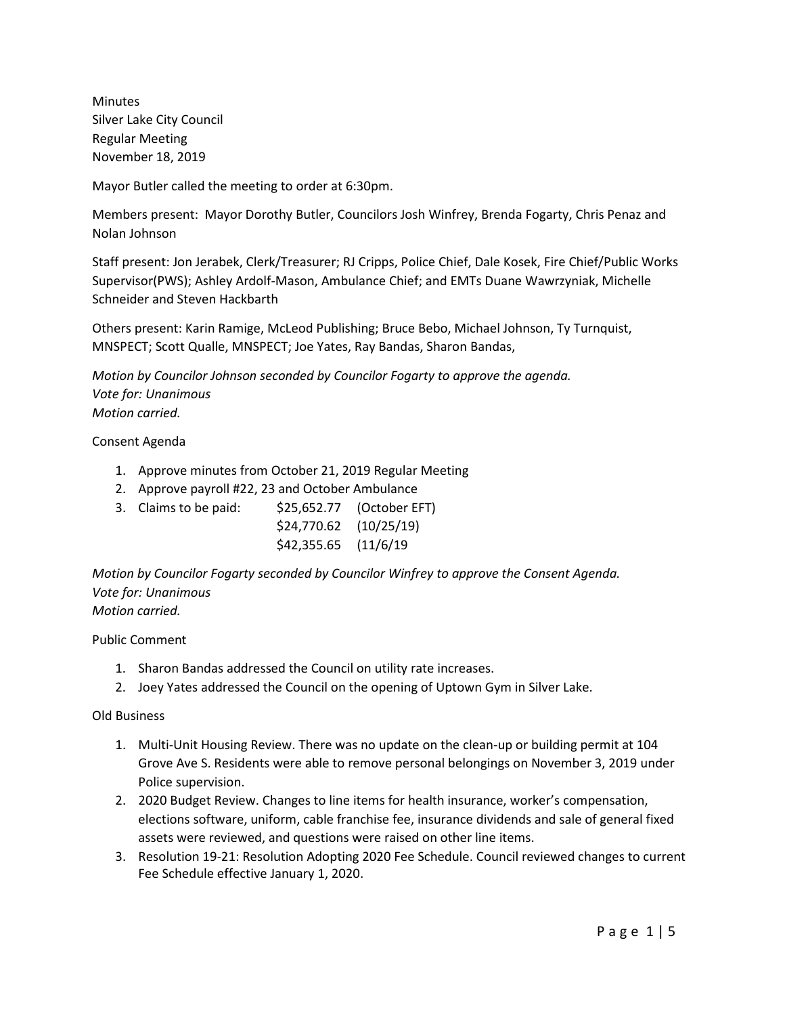Minutes Silver Lake City Council Regular Meeting November 18, 2019

Mayor Butler called the meeting to order at 6:30pm.

Members present: Mayor Dorothy Butler, Councilors Josh Winfrey, Brenda Fogarty, Chris Penaz and Nolan Johnson

Staff present: Jon Jerabek, Clerk/Treasurer; RJ Cripps, Police Chief, Dale Kosek, Fire Chief/Public Works Supervisor(PWS); Ashley Ardolf-Mason, Ambulance Chief; and EMTs Duane Wawrzyniak, Michelle Schneider and Steven Hackbarth

Others present: Karin Ramige, McLeod Publishing; Bruce Bebo, Michael Johnson, Ty Turnquist, MNSPECT; Scott Qualle, MNSPECT; Joe Yates, Ray Bandas, Sharon Bandas,

*Motion by Councilor Johnson seconded by Councilor Fogarty to approve the agenda. Vote for: Unanimous Motion carried.*

Consent Agenda

- 1. Approve minutes from October 21, 2019 Regular Meeting
- 2. Approve payroll #22, 23 and October Ambulance
- 3. Claims to be paid: \$25,652.77 (October EFT) \$24,770.62 (10/25/19) \$42,355.65 (11/6/19

*Motion by Councilor Fogarty seconded by Councilor Winfrey to approve the Consent Agenda. Vote for: Unanimous Motion carried.*

Public Comment

- 1. Sharon Bandas addressed the Council on utility rate increases.
- 2. Joey Yates addressed the Council on the opening of Uptown Gym in Silver Lake.

Old Business

- 1. Multi-Unit Housing Review. There was no update on the clean-up or building permit at 104 Grove Ave S. Residents were able to remove personal belongings on November 3, 2019 under Police supervision.
- 2. 2020 Budget Review. Changes to line items for health insurance, worker's compensation, elections software, uniform, cable franchise fee, insurance dividends and sale of general fixed assets were reviewed, and questions were raised on other line items.
- 3. Resolution 19-21: Resolution Adopting 2020 Fee Schedule. Council reviewed changes to current Fee Schedule effective January 1, 2020.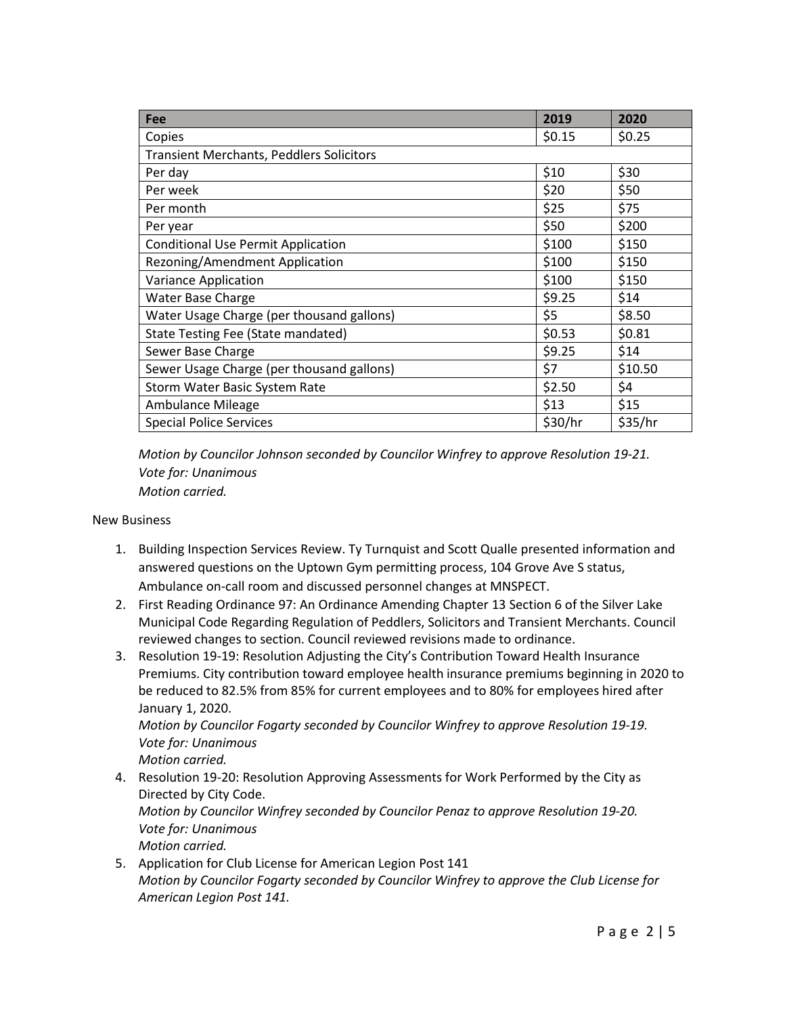| Fee                                             | 2019    | 2020    |  |  |  |
|-------------------------------------------------|---------|---------|--|--|--|
| Copies                                          | \$0.15  | \$0.25  |  |  |  |
| <b>Transient Merchants, Peddlers Solicitors</b> |         |         |  |  |  |
| Per day                                         | \$10    | \$30    |  |  |  |
| Per week                                        | \$20    | \$50    |  |  |  |
| Per month                                       | \$25    | \$75    |  |  |  |
| Per year                                        | \$50    | \$200   |  |  |  |
| <b>Conditional Use Permit Application</b>       | \$100   | \$150   |  |  |  |
| Rezoning/Amendment Application                  | \$100   | \$150   |  |  |  |
| Variance Application                            | \$100   | \$150   |  |  |  |
| <b>Water Base Charge</b>                        | \$9.25  | \$14    |  |  |  |
| Water Usage Charge (per thousand gallons)       | \$5     | \$8.50  |  |  |  |
| State Testing Fee (State mandated)              | \$0.53  | \$0.81  |  |  |  |
| Sewer Base Charge                               | \$9.25  | \$14    |  |  |  |
| Sewer Usage Charge (per thousand gallons)       | \$7     | \$10.50 |  |  |  |
| Storm Water Basic System Rate                   | \$2.50  | \$4     |  |  |  |
| Ambulance Mileage                               | \$13    | \$15    |  |  |  |
| <b>Special Police Services</b>                  | \$30/hr | \$35/hr |  |  |  |

*Motion by Councilor Johnson seconded by Councilor Winfrey to approve Resolution 19-21. Vote for: Unanimous Motion carried.*

New Business

- 1. Building Inspection Services Review. Ty Turnquist and Scott Qualle presented information and answered questions on the Uptown Gym permitting process, 104 Grove Ave S status, Ambulance on-call room and discussed personnel changes at MNSPECT.
- 2. First Reading Ordinance 97: An Ordinance Amending Chapter 13 Section 6 of the Silver Lake Municipal Code Regarding Regulation of Peddlers, Solicitors and Transient Merchants. Council reviewed changes to section. Council reviewed revisions made to ordinance.
- 3. Resolution 19-19: Resolution Adjusting the City's Contribution Toward Health Insurance Premiums. City contribution toward employee health insurance premiums beginning in 2020 to be reduced to 82.5% from 85% for current employees and to 80% for employees hired after January 1, 2020.

*Motion by Councilor Fogarty seconded by Councilor Winfrey to approve Resolution 19-19. Vote for: Unanimous*

*Motion carried.*

4. Resolution 19-20: Resolution Approving Assessments for Work Performed by the City as Directed by City Code. *Motion by Councilor Winfrey seconded by Councilor Penaz to approve Resolution 19-20.*

*Vote for: Unanimous*

*Motion carried.*

5. Application for Club License for American Legion Post 141 *Motion by Councilor Fogarty seconded by Councilor Winfrey to approve the Club License for American Legion Post 141.*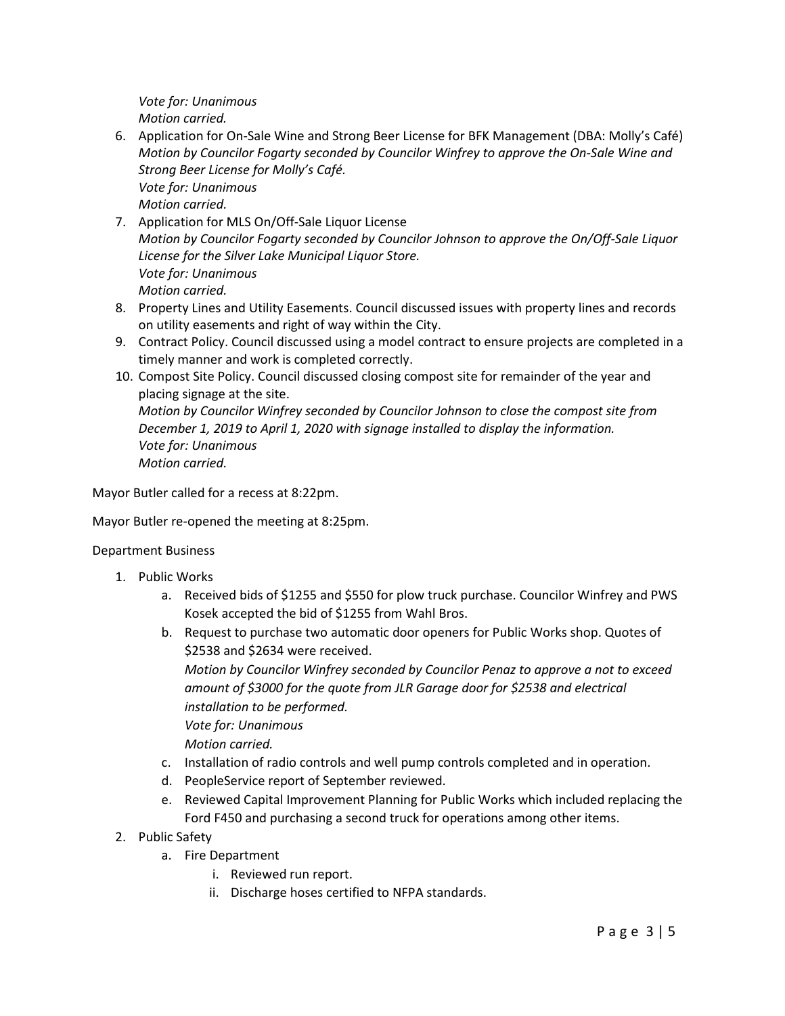*Vote for: Unanimous Motion carried.*

- 6. Application for On-Sale Wine and Strong Beer License for BFK Management (DBA: Molly's Café) *Motion by Councilor Fogarty seconded by Councilor Winfrey to approve the On-Sale Wine and Strong Beer License for Molly's Café. Vote for: Unanimous Motion carried.*
- 7. Application for MLS On/Off-Sale Liquor License *Motion by Councilor Fogarty seconded by Councilor Johnson to approve the On/Off-Sale Liquor License for the Silver Lake Municipal Liquor Store. Vote for: Unanimous Motion carried.*
- 8. Property Lines and Utility Easements. Council discussed issues with property lines and records on utility easements and right of way within the City.
- 9. Contract Policy. Council discussed using a model contract to ensure projects are completed in a timely manner and work is completed correctly.
- 10. Compost Site Policy. Council discussed closing compost site for remainder of the year and placing signage at the site.

*Motion by Councilor Winfrey seconded by Councilor Johnson to close the compost site from December 1, 2019 to April 1, 2020 with signage installed to display the information. Vote for: Unanimous Motion carried.*

Mayor Butler called for a recess at 8:22pm.

Mayor Butler re-opened the meeting at 8:25pm.

Department Business

- 1. Public Works
	- a. Received bids of \$1255 and \$550 for plow truck purchase. Councilor Winfrey and PWS Kosek accepted the bid of \$1255 from Wahl Bros.
	- b. Request to purchase two automatic door openers for Public Works shop. Quotes of \$2538 and \$2634 were received.

*Motion by Councilor Winfrey seconded by Councilor Penaz to approve a not to exceed amount of \$3000 for the quote from JLR Garage door for \$2538 and electrical installation to be performed.*

*Vote for: Unanimous*

*Motion carried.*

- c. Installation of radio controls and well pump controls completed and in operation.
- d. PeopleService report of September reviewed.
- e. Reviewed Capital Improvement Planning for Public Works which included replacing the Ford F450 and purchasing a second truck for operations among other items.
- 2. Public Safety
	- a. Fire Department
		- i. Reviewed run report.
		- ii. Discharge hoses certified to NFPA standards.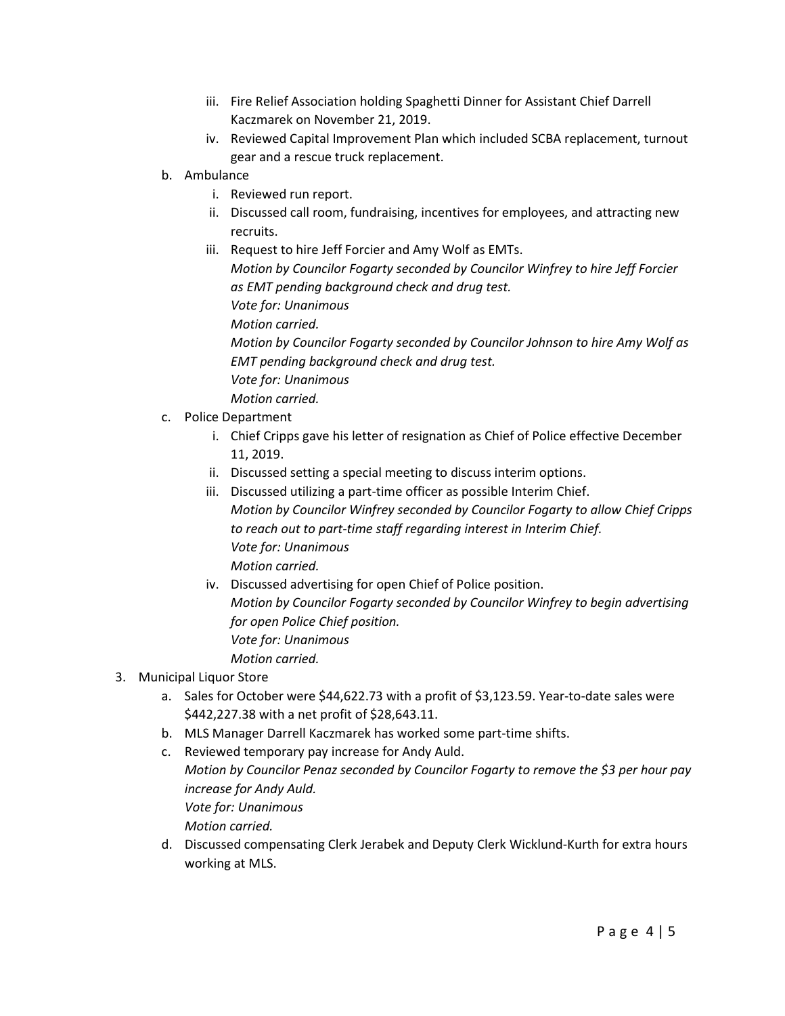- iii. Fire Relief Association holding Spaghetti Dinner for Assistant Chief Darrell Kaczmarek on November 21, 2019.
- iv. Reviewed Capital Improvement Plan which included SCBA replacement, turnout gear and a rescue truck replacement.
- b. Ambulance
	- i. Reviewed run report.
	- ii. Discussed call room, fundraising, incentives for employees, and attracting new recruits.
	- iii. Request to hire Jeff Forcier and Amy Wolf as EMTs. *Motion by Councilor Fogarty seconded by Councilor Winfrey to hire Jeff Forcier as EMT pending background check and drug test. Vote for: Unanimous Motion carried. Motion by Councilor Fogarty seconded by Councilor Johnson to hire Amy Wolf as EMT pending background check and drug test.*
		- *Vote for: Unanimous*
- *Motion carried.* c. Police Department
	- i. Chief Cripps gave his letter of resignation as Chief of Police effective December 11, 2019.
	- ii. Discussed setting a special meeting to discuss interim options.
	- iii. Discussed utilizing a part-time officer as possible Interim Chief. *Motion by Councilor Winfrey seconded by Councilor Fogarty to allow Chief Cripps to reach out to part-time staff regarding interest in Interim Chief. Vote for: Unanimous Motion carried.*
	- iv. Discussed advertising for open Chief of Police position. *Motion by Councilor Fogarty seconded by Councilor Winfrey to begin advertising for open Police Chief position. Vote for: Unanimous Motion carried.*
- 3. Municipal Liquor Store
	- a. Sales for October were \$44,622.73 with a profit of \$3,123.59. Year-to-date sales were \$442,227.38 with a net profit of \$28,643.11.
	- b. MLS Manager Darrell Kaczmarek has worked some part-time shifts.
	- c. Reviewed temporary pay increase for Andy Auld. *Motion by Councilor Penaz seconded by Councilor Fogarty to remove the \$3 per hour pay increase for Andy Auld. Vote for: Unanimous Motion carried.*
	- d. Discussed compensating Clerk Jerabek and Deputy Clerk Wicklund-Kurth for extra hours working at MLS.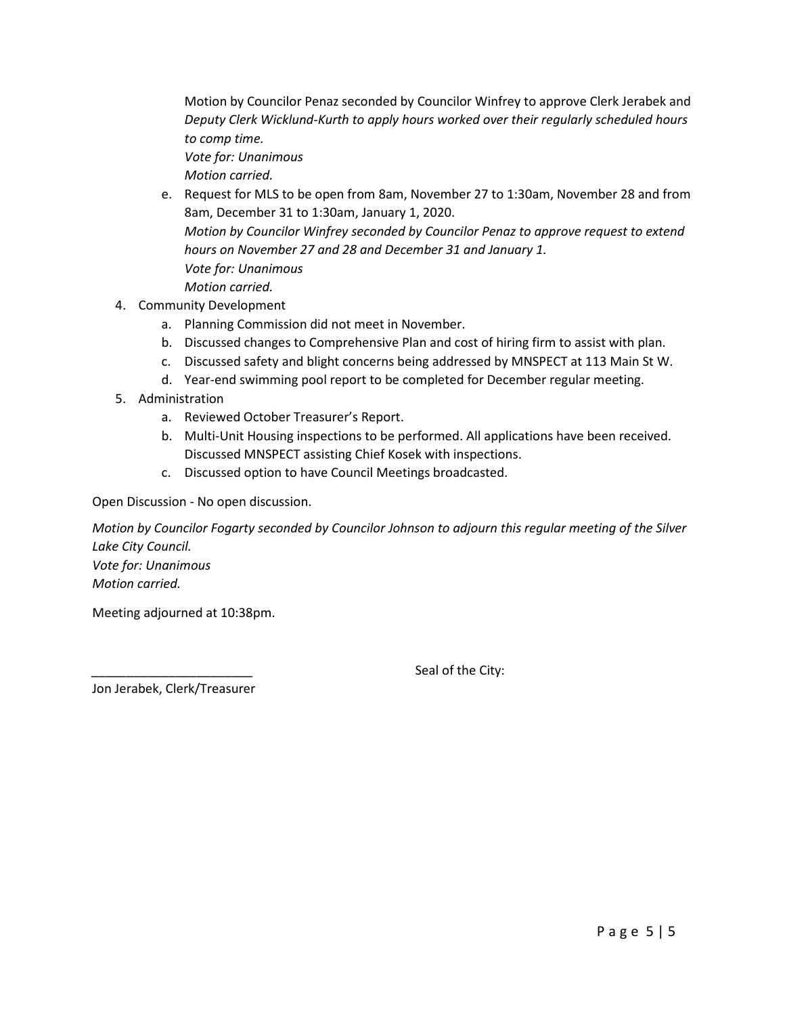Motion by Councilor Penaz seconded by Councilor Winfrey to approve Clerk Jerabek and *Deputy Clerk Wicklund-Kurth to apply hours worked over their regularly scheduled hours to comp time.*

*Vote for: Unanimous Motion carried.*

- e. Request for MLS to be open from 8am, November 27 to 1:30am, November 28 and from 8am, December 31 to 1:30am, January 1, 2020. *Motion by Councilor Winfrey seconded by Councilor Penaz to approve request to extend hours on November 27 and 28 and December 31 and January 1. Vote for: Unanimous Motion carried.*
- 4. Community Development
	- a. Planning Commission did not meet in November.
	- b. Discussed changes to Comprehensive Plan and cost of hiring firm to assist with plan.
	- c. Discussed safety and blight concerns being addressed by MNSPECT at 113 Main St W.
	- d. Year-end swimming pool report to be completed for December regular meeting.
- 5. Administration
	- a. Reviewed October Treasurer's Report.
	- b. Multi-Unit Housing inspections to be performed. All applications have been received. Discussed MNSPECT assisting Chief Kosek with inspections.
	- c. Discussed option to have Council Meetings broadcasted.

Open Discussion - No open discussion.

*Motion by Councilor Fogarty seconded by Councilor Johnson to adjourn this regular meeting of the Silver Lake City Council. Vote for: Unanimous Motion carried.*

Meeting adjourned at 10:38pm.

Seal of the City:

Jon Jerabek, Clerk/Treasurer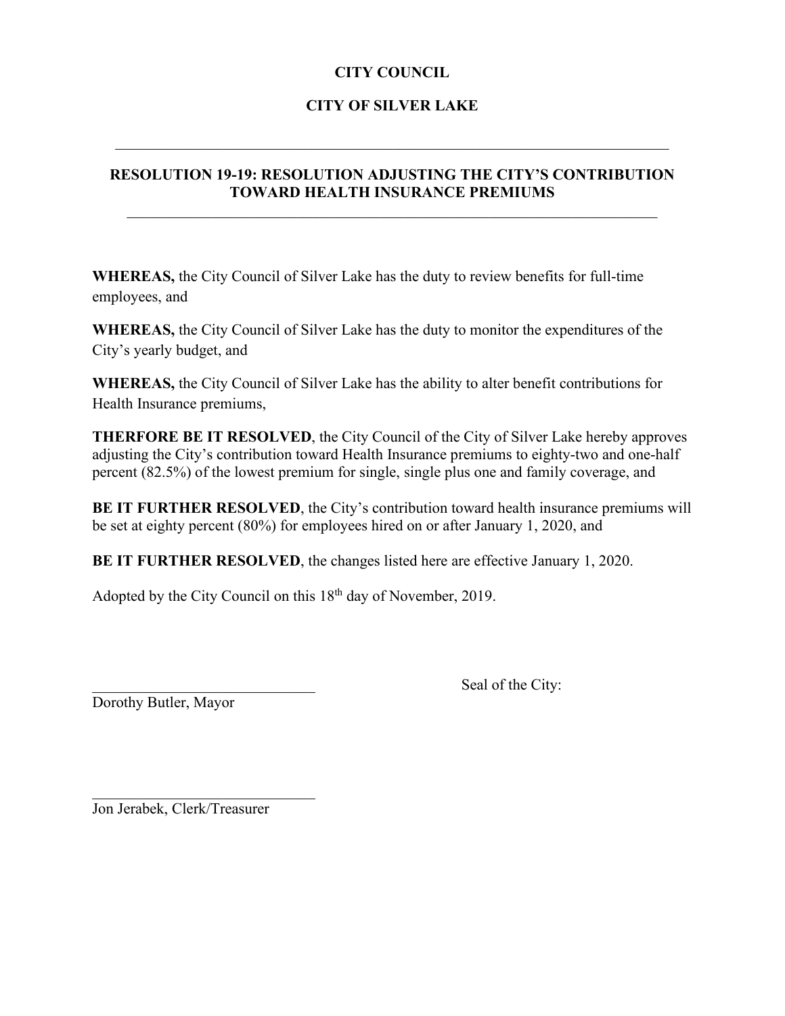## **CITY COUNCIL**

# **CITY OF SILVER LAKE**

 $\mathcal{L}_\text{G}$  , and the contribution of the contribution of the contribution of the contribution of the contribution of the contribution of the contribution of the contribution of the contribution of the contribution of t

## **RESOLUTION 19-19: RESOLUTION ADJUSTING THE CITY'S CONTRIBUTION TOWARD HEALTH INSURANCE PREMIUMS**

**WHEREAS,** the City Council of Silver Lake has the duty to review benefits for full-time employees, and

**WHEREAS,** the City Council of Silver Lake has the duty to monitor the expenditures of the City's yearly budget, and

**WHEREAS,** the City Council of Silver Lake has the ability to alter benefit contributions for Health Insurance premiums,

**THERFORE BE IT RESOLVED**, the City Council of the City of Silver Lake hereby approves adjusting the City's contribution toward Health Insurance premiums to eighty-two and one-half percent (82.5%) of the lowest premium for single, single plus one and family coverage, and

BE IT FURTHER RESOLVED, the City's contribution toward health insurance premiums will be set at eighty percent (80%) for employees hired on or after January 1, 2020, and

**BE IT FURTHER RESOLVED**, the changes listed here are effective January 1, 2020.

Adopted by the City Council on this 18<sup>th</sup> day of November, 2019.

Dorothy Butler, Mayor

Seal of the City:

Jon Jerabek, Clerk/Treasurer

 $\overline{\phantom{a}}$  , and the set of the set of the set of the set of the set of the set of the set of the set of the set of the set of the set of the set of the set of the set of the set of the set of the set of the set of the s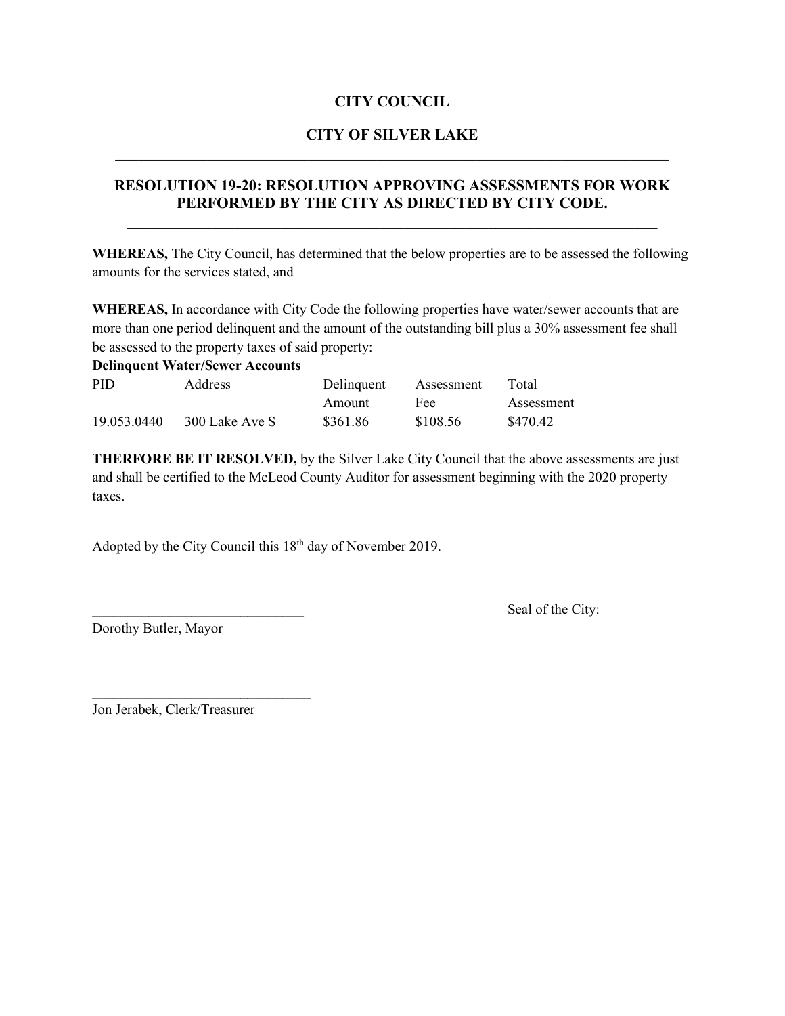#### **CITY COUNCIL**

#### **CITY OF SILVER LAKE**

### **RESOLUTION 19-20: RESOLUTION APPROVING ASSESSMENTS FOR WORK PERFORMED BY THE CITY AS DIRECTED BY CITY CODE.**

\_\_\_\_\_\_\_\_\_\_\_\_\_\_\_\_\_\_\_\_\_\_\_\_\_\_\_\_\_\_\_\_\_\_\_\_\_\_\_\_\_\_\_\_\_\_\_\_\_\_\_\_\_\_\_\_\_\_\_\_\_\_\_\_\_\_\_\_\_

**WHEREAS,** The City Council, has determined that the below properties are to be assessed the following amounts for the services stated, and

**WHEREAS,** In accordance with City Code the following properties have water/sewer accounts that are more than one period delinquent and the amount of the outstanding bill plus a 30% assessment fee shall be assessed to the property taxes of said property:

| <b>Delinquent Water/Sewer Accounts</b> |                |            |            |            |  |
|----------------------------------------|----------------|------------|------------|------------|--|
| PID.                                   | <b>Address</b> | Delinquent | Assessment | Total      |  |
|                                        |                | Amount     | Fee        | Assessment |  |
| 19.053.0440                            | 300 Lake Ave S | \$361.86   | \$108.56   | \$470.42   |  |

**THERFORE BE IT RESOLVED,** by the Silver Lake City Council that the above assessments are just and shall be certified to the McLeod County Auditor for assessment beginning with the 2020 property taxes.

Adopted by the City Council this 18<sup>th</sup> day of November 2019.

Seal of the City:

Dorothy Butler, Mayor

Jon Jerabek, Clerk/Treasurer

 $\mathcal{L}_\text{max}$  , where  $\mathcal{L}_\text{max}$  and  $\mathcal{L}_\text{max}$  and  $\mathcal{L}_\text{max}$